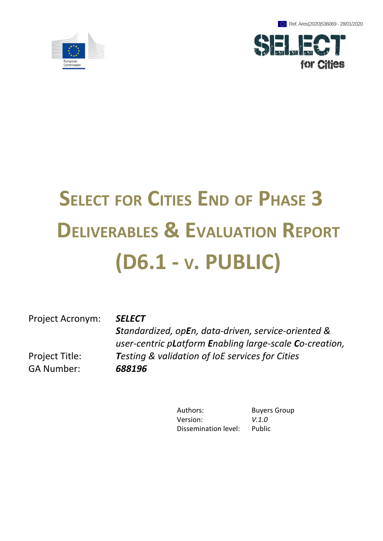Ref. Ares(2020)536069 - 28/01/2020





# **SELECT FOR CITIES END OF PHASE 3 DELIVERABLES & EVALUATION REPORT (D6.1 - V. PUBLIC)**

Project Acronym: *SELECT*

Project Title: GA Number: *688196*

*Standardized, opEn, data-driven, service-oriented & user-centric pLatform Enabling large-scale Co-creation, Testing & validation of IoE services for Cities*

> Authors: Buyers Group Version: *V.1.0* Dissemination level: Public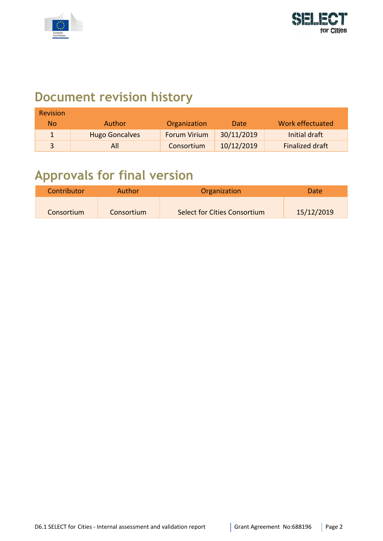



## **Document revision history**

| <b>Revision</b> |                       |                     |            |                        |
|-----------------|-----------------------|---------------------|------------|------------------------|
| No              | Author                | Organization        | Date       | Work effectuated       |
|                 | <b>Hugo Goncalves</b> | <b>Forum Virium</b> | 30/11/2019 | Initial draft          |
|                 | All                   | Consortium          | 10/12/2019 | <b>Finalized draft</b> |

## **Approvals for final version**

| Contributor | Author     | Organization                 | Date       |
|-------------|------------|------------------------------|------------|
|             |            |                              |            |
| Consortium  | Consortium | Select for Cities Consortium | 15/12/2019 |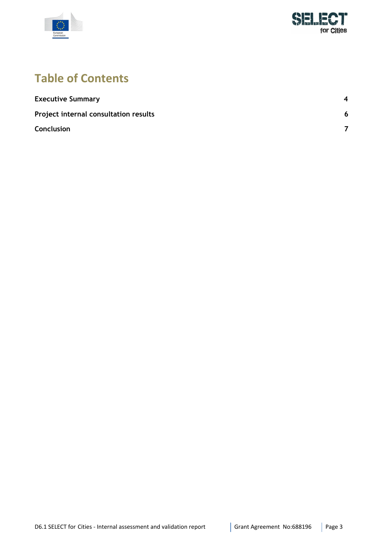



### **Table of Contents**

| <b>Executive Summary</b>              | $\boldsymbol{A}$ |
|---------------------------------------|------------------|
| Project internal consultation results | 6                |
| Conclusion                            |                  |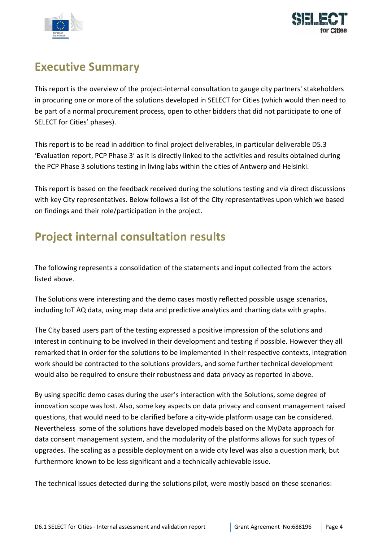



#### <span id="page-3-0"></span>**Executive Summary**

This report is the overview of the project-internal consultation to gauge city partners' stakeholders in procuring one or more of the solutions developed in SELECT for Cities (which would then need to be part of a normal procurement process, open to other bidders that did not participate to one of SELECT for Cities' phases).

This report is to be read in addition to final project deliverables, in particular deliverable D5.3 'Evaluation report, PCP Phase 3' as it is directly linked to the activities and results obtained during the PCP Phase 3 solutions testing in living labs within the cities of Antwerp and Helsinki.

This report is based on the feedback received during the solutions testing and via direct discussions with key City representatives. Below follows a list of the City representatives upon which we based on findings and their role/participation in the project.

### **Project internal consultation results**

The following represents a consolidation of the statements and input collected from the actors listed above.

The Solutions were interesting and the demo cases mostly reflected possible usage scenarios, including IoT AQ data, using map data and predictive analytics and charting data with graphs.

The City based users part of the testing expressed a positive impression of the solutions and interest in continuing to be involved in their development and testing if possible. However they all remarked that in order for the solutions to be implemented in their respective contexts, integration work should be contracted to the solutions providers, and some further technical development would also be required to ensure their robustness and data privacy as reported in above.

By using specific demo cases during the user's interaction with the Solutions, some degree of innovation scope was lost. Also, some key aspects on data privacy and consent management raised questions, that would need to be clarified before a city-wide platform usage can be considered. Nevertheless some of the solutions have developed models based on the MyData approach for data consent management system, and the modularity of the platforms allows for such types of upgrades. The scaling as a possible deployment on a wide city level was also a question mark, but furthermore known to be less significant and a technically achievable issue.

The technical issues detected during the solutions pilot, were mostly based on these scenarios: